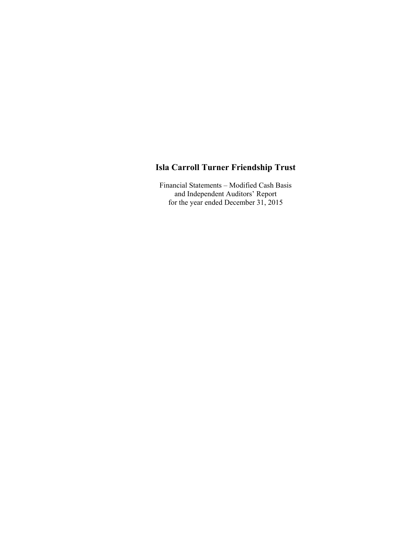Financial Statements – Modified Cash Basis and Independent Auditors' Report for the year ended December 31, 2015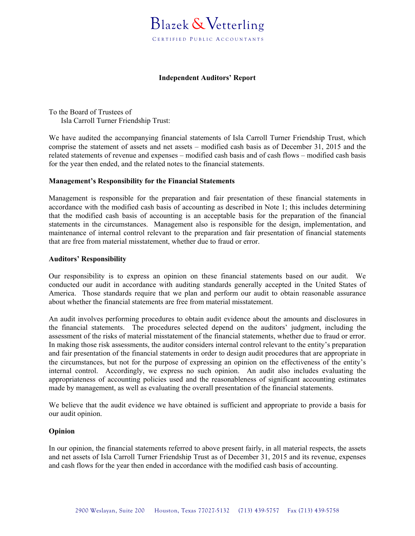#### **Independent Auditors' Report**

To the Board of Trustees of Isla Carroll Turner Friendship Trust:

We have audited the accompanying financial statements of Isla Carroll Turner Friendship Trust, which comprise the statement of assets and net assets – modified cash basis as of December 31, 2015 and the related statements of revenue and expenses – modified cash basis and of cash flows – modified cash basis for the year then ended, and the related notes to the financial statements.

#### **Management's Responsibility for the Financial Statements**

Management is responsible for the preparation and fair presentation of these financial statements in accordance with the modified cash basis of accounting as described in Note 1; this includes determining that the modified cash basis of accounting is an acceptable basis for the preparation of the financial statements in the circumstances. Management also is responsible for the design, implementation, and maintenance of internal control relevant to the preparation and fair presentation of financial statements that are free from material misstatement, whether due to fraud or error.

#### **Auditors' Responsibility**

Our responsibility is to express an opinion on these financial statements based on our audit. We conducted our audit in accordance with auditing standards generally accepted in the United States of America. Those standards require that we plan and perform our audit to obtain reasonable assurance about whether the financial statements are free from material misstatement.

An audit involves performing procedures to obtain audit evidence about the amounts and disclosures in the financial statements. The procedures selected depend on the auditors' judgment, including the assessment of the risks of material misstatement of the financial statements, whether due to fraud or error. In making those risk assessments, the auditor considers internal control relevant to the entity's preparation and fair presentation of the financial statements in order to design audit procedures that are appropriate in the circumstances, but not for the purpose of expressing an opinion on the effectiveness of the entity's internal control. Accordingly, we express no such opinion. An audit also includes evaluating the appropriateness of accounting policies used and the reasonableness of significant accounting estimates made by management, as well as evaluating the overall presentation of the financial statements.

We believe that the audit evidence we have obtained is sufficient and appropriate to provide a basis for our audit opinion.

#### **Opinion**

In our opinion, the financial statements referred to above present fairly, in all material respects, the assets and net assets of Isla Carroll Turner Friendship Trust as of December 31, 2015 and its revenue, expenses and cash flows for the year then ended in accordance with the modified cash basis of accounting.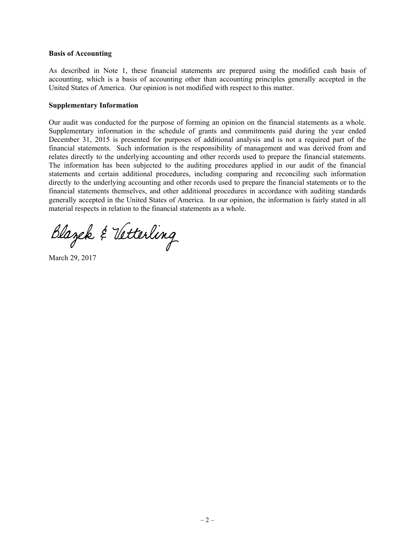#### **Basis of Accounting**

As described in Note 1, these financial statements are prepared using the modified cash basis of accounting, which is a basis of accounting other than accounting principles generally accepted in the United States of America. Our opinion is not modified with respect to this matter.

#### **Supplementary Information**

Our audit was conducted for the purpose of forming an opinion on the financial statements as a whole. Supplementary information in the schedule of grants and commitments paid during the year ended December 31, 2015 is presented for purposes of additional analysis and is not a required part of the financial statements. Such information is the responsibility of management and was derived from and relates directly to the underlying accounting and other records used to prepare the financial statements. The information has been subjected to the auditing procedures applied in our audit of the financial statements and certain additional procedures, including comparing and reconciling such information directly to the underlying accounting and other records used to prepare the financial statements or to the financial statements themselves, and other additional procedures in accordance with auditing standards generally accepted in the United States of America. In our opinion, the information is fairly stated in all material respects in relation to the financial statements as a whole.

Blazek & Vetterling

March 29, 2017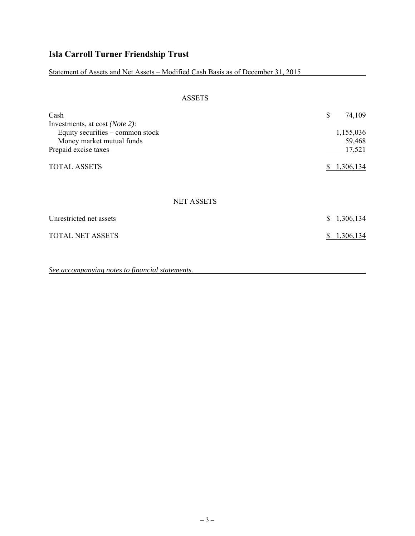Statement of Assets and Net Assets – Modified Cash Basis as of December 31, 2015

| <b>ASSETS</b>                                                 |    |                     |
|---------------------------------------------------------------|----|---------------------|
| Cash<br>Investments, at cost ( <i>Note 2</i> ):               | \$ | 74,109              |
| Equity securities – common stock<br>Money market mutual funds |    | 1,155,036<br>59,468 |
| Prepaid excise taxes                                          |    | 17,521              |
| <b>TOTAL ASSETS</b>                                           | S  | 1,306,134           |
| <b>NET ASSETS</b>                                             |    |                     |
| Unrestricted net assets                                       | \$ | 1,306,134           |
| <b>TOTAL NET ASSETS</b>                                       | S  | 1,306,134           |
|                                                               |    |                     |

*See accompanying notes to financial statements.*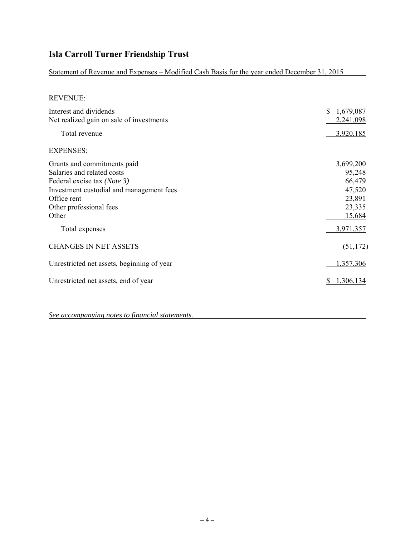Statement of Revenue and Expenses – Modified Cash Basis for the year ended December 31, 2015

| REVENU |
|--------|
|--------|

| Interest and dividends<br>Net realized gain on sale of investments                                                                                                                      | 1,679,087<br>\$.<br>2,241,098                                         |
|-----------------------------------------------------------------------------------------------------------------------------------------------------------------------------------------|-----------------------------------------------------------------------|
| Total revenue                                                                                                                                                                           | 3,920,185                                                             |
| <b>EXPENSES:</b>                                                                                                                                                                        |                                                                       |
| Grants and commitments paid<br>Salaries and related costs<br>Federal excise tax (Note 3)<br>Investment custodial and management fees<br>Office rent<br>Other professional fees<br>Other | 3,699,200<br>95,248<br>66,479<br>47,520<br>23,891<br>23,335<br>15,684 |
| Total expenses                                                                                                                                                                          | 3,971,357                                                             |
| <b>CHANGES IN NET ASSETS</b>                                                                                                                                                            | (51, 172)                                                             |
| Unrestricted net assets, beginning of year                                                                                                                                              | 1,357,306                                                             |
| Unrestricted net assets, end of year                                                                                                                                                    | 1,306,134                                                             |

*See accompanying notes to financial statements.*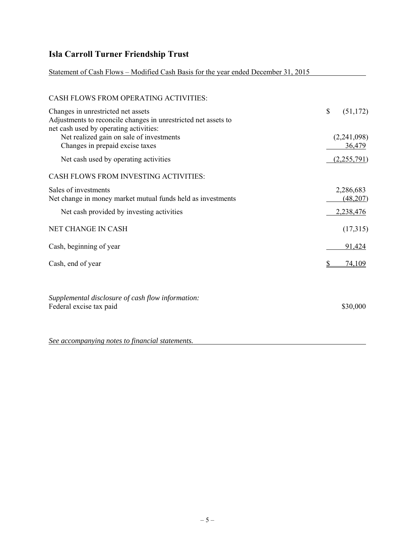#### Statement of Cash Flows – Modified Cash Basis for the year ended December 31, 2015

# CASH FLOWS FROM OPERATING ACTIVITIES: Changes in unrestricted net assets  $\qquad$  (51,172) Adjustments to reconcile changes in unrestricted net assets to net cash used by operating activities: Net realized gain on sale of investments (2,241,098) Changes in prepaid excise taxes 36,479 Net cash used by operating activities (2,255,791) CASH FLOWS FROM INVESTING ACTIVITIES: Sales of investments 2,286,683 Net change in money market mutual funds held as investments (48,207) Net cash provided by investing activities 2,238,476 NET CHANGE IN CASH (17,315) Cash, beginning of year 91,424 Cash, end of year  $\frac{\$}{74,109}$ *Supplemental disclosure of cash flow information:* Federal excise tax paid \$30,000 *See accompanying notes to financial statements.*

 $-5-$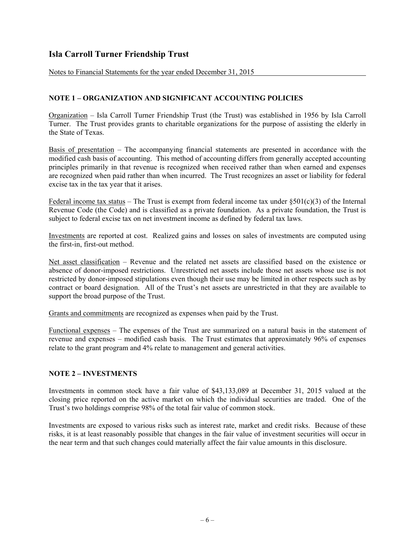Notes to Financial Statements for the year ended December 31, 2015

#### **NOTE 1 – ORGANIZATION AND SIGNIFICANT ACCOUNTING POLICIES**

Organization – Isla Carroll Turner Friendship Trust (the Trust) was established in 1956 by Isla Carroll Turner. The Trust provides grants to charitable organizations for the purpose of assisting the elderly in the State of Texas.

Basis of presentation – The accompanying financial statements are presented in accordance with the modified cash basis of accounting. This method of accounting differs from generally accepted accounting principles primarily in that revenue is recognized when received rather than when earned and expenses are recognized when paid rather than when incurred. The Trust recognizes an asset or liability for federal excise tax in the tax year that it arises.

Federal income tax status – The Trust is exempt from federal income tax under  $\S501(c)(3)$  of the Internal Revenue Code (the Code) and is classified as a private foundation. As a private foundation, the Trust is subject to federal excise tax on net investment income as defined by federal tax laws.

Investments are reported at cost. Realized gains and losses on sales of investments are computed using the first-in, first-out method.

Net asset classification – Revenue and the related net assets are classified based on the existence or absence of donor-imposed restrictions. Unrestricted net assets include those net assets whose use is not restricted by donor-imposed stipulations even though their use may be limited in other respects such as by contract or board designation. All of the Trust's net assets are unrestricted in that they are available to support the broad purpose of the Trust.

Grants and commitments are recognized as expenses when paid by the Trust.

Functional expenses – The expenses of the Trust are summarized on a natural basis in the statement of revenue and expenses – modified cash basis. The Trust estimates that approximately 96% of expenses relate to the grant program and 4% relate to management and general activities.

#### **NOTE 2 – INVESTMENTS**

Investments in common stock have a fair value of \$43,133,089 at December 31, 2015 valued at the closing price reported on the active market on which the individual securities are traded. One of the Trust's two holdings comprise 98% of the total fair value of common stock.

Investments are exposed to various risks such as interest rate, market and credit risks. Because of these risks, it is at least reasonably possible that changes in the fair value of investment securities will occur in the near term and that such changes could materially affect the fair value amounts in this disclosure.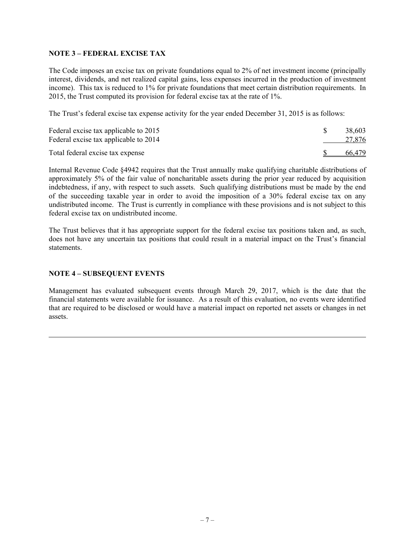#### **NOTE 3 – FEDERAL EXCISE TAX**

The Code imposes an excise tax on private foundations equal to 2% of net investment income (principally interest, dividends, and net realized capital gains, less expenses incurred in the production of investment income). This tax is reduced to 1% for private foundations that meet certain distribution requirements. In 2015, the Trust computed its provision for federal excise tax at the rate of 1%.

The Trust's federal excise tax expense activity for the year ended December 31, 2015 is as follows:

| Federal excise tax applicable to 2015<br>Federal excise tax applicable to 2014 | 38,603<br>27,876 |
|--------------------------------------------------------------------------------|------------------|
| Total federal excise tax expense                                               | 66,479           |

Internal Revenue Code §4942 requires that the Trust annually make qualifying charitable distributions of approximately 5% of the fair value of noncharitable assets during the prior year reduced by acquisition indebtedness, if any, with respect to such assets. Such qualifying distributions must be made by the end of the succeeding taxable year in order to avoid the imposition of a 30% federal excise tax on any undistributed income. The Trust is currently in compliance with these provisions and is not subject to this federal excise tax on undistributed income.

The Trust believes that it has appropriate support for the federal excise tax positions taken and, as such, does not have any uncertain tax positions that could result in a material impact on the Trust's financial statements.

#### **NOTE 4 – SUBSEQUENT EVENTS**

Management has evaluated subsequent events through March 29, 2017, which is the date that the financial statements were available for issuance. As a result of this evaluation, no events were identified that are required to be disclosed or would have a material impact on reported net assets or changes in net assets.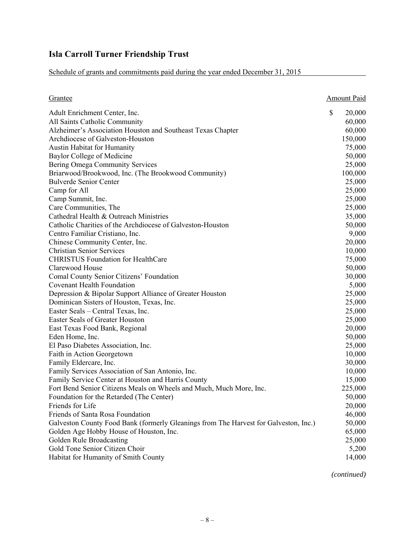Schedule of grants and commitments paid during the year ended December 31, 2015

| <u>Grantee</u>                                                                       | <b>Amount Paid</b> |
|--------------------------------------------------------------------------------------|--------------------|
| Adult Enrichment Center, Inc.                                                        | \$<br>20,000       |
| All Saints Catholic Community                                                        | 60,000             |
| Alzheimer's Association Houston and Southeast Texas Chapter                          | 60,000             |
| Archdiocese of Galveston-Houston                                                     | 150,000            |
| Austin Habitat for Humanity                                                          | 75,000             |
| Baylor College of Medicine                                                           | 50,000             |
| Bering Omega Community Services                                                      | 25,000             |
| Briarwood/Brookwood, Inc. (The Brookwood Community)                                  | 100,000            |
| <b>Bulverde Senior Center</b>                                                        | 25,000             |
| Camp for All                                                                         | 25,000             |
| Camp Summit, Inc.                                                                    | 25,000             |
| Care Communities, The                                                                | 25,000             |
| Cathedral Health & Outreach Ministries                                               | 35,000             |
| Catholic Charities of the Archdiocese of Galveston-Houston                           | 50,000             |
| Centro Familiar Cristiano, Inc.                                                      | 9,000              |
| Chinese Community Center, Inc.                                                       | 20,000             |
| <b>Christian Senior Services</b>                                                     | 10,000             |
| <b>CHRISTUS Foundation for HealthCare</b>                                            | 75,000             |
| Clarewood House                                                                      | 50,000             |
| Comal County Senior Citizens' Foundation                                             | 30,000             |
| <b>Covenant Health Foundation</b>                                                    | 5,000              |
| Depression & Bipolar Support Alliance of Greater Houston                             | 25,000             |
| Dominican Sisters of Houston, Texas, Inc.                                            | 25,000             |
| Easter Seals - Central Texas, Inc.                                                   | 25,000             |
| Easter Seals of Greater Houston                                                      | 25,000             |
| East Texas Food Bank, Regional                                                       | 20,000             |
| Eden Home, Inc.                                                                      | 50,000             |
| El Paso Diabetes Association, Inc.                                                   | 25,000             |
| Faith in Action Georgetown                                                           | 10,000             |
| Family Eldercare, Inc.                                                               | 30,000             |
| Family Services Association of San Antonio, Inc.                                     | 10,000             |
| Family Service Center at Houston and Harris County                                   | 15,000             |
| Fort Bend Senior Citizens Meals on Wheels and Much, Much More, Inc.                  | 225,000            |
| Foundation for the Retarded (The Center)                                             | 50,000             |
| Friends for Life                                                                     | 20,000             |
| Friends of Santa Rosa Foundation                                                     | 46,000             |
| Galveston County Food Bank (formerly Gleanings from The Harvest for Galveston, Inc.) | 50,000             |
| Golden Age Hobby House of Houston, Inc.                                              | 65,000             |
| Golden Rule Broadcasting                                                             | 25,000             |
| Gold Tone Senior Citizen Choir                                                       | 5,200              |
| Habitat for Humanity of Smith County                                                 | 14,000             |

*(continued)*